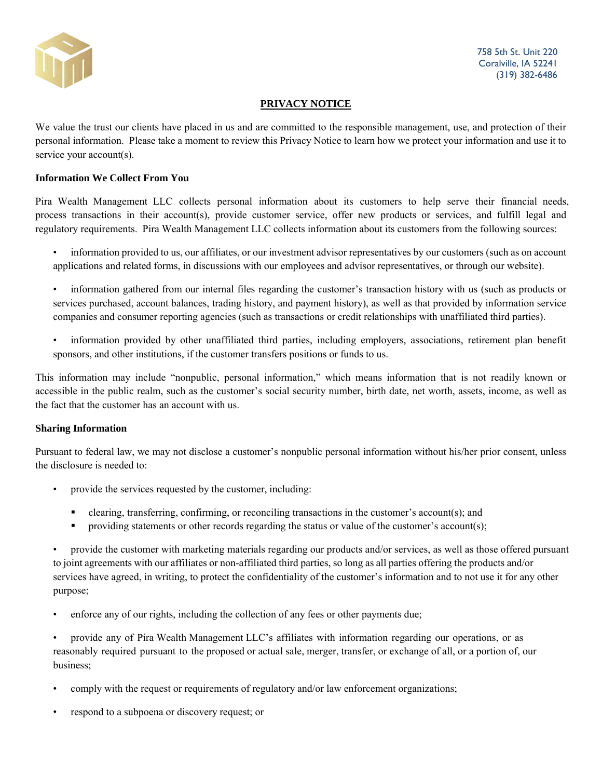

758 5th St. Unit 220 Coralville, IA 52241 (319) 382-6486

# **PRIVACY NOTICE**

We value the trust our clients have placed in us and are committed to the responsible management, use, and protection of their personal information. Please take a moment to review this Privacy Notice to learn how we protect your information and use it to service your account(s).

### **Information We Collect From You**

Pira Wealth Management LLC collects personal information about its customers to help serve their financial needs, process transactions in their account(s), provide customer service, offer new products or services, and fulfill legal and regulatory requirements. Pira Wealth Management LLC collects information about its customers from the following sources:

- information provided to us, our affiliates, or our investment advisor representatives by our customers (such as on account applications and related forms, in discussions with our employees and advisor representatives, or through our website).
- information gathered from our internal files regarding the customer's transaction history with us (such as products or services purchased, account balances, trading history, and payment history), as well as that provided by information service companies and consumer reporting agencies (such as transactions or credit relationships with unaffiliated third parties).
- information provided by other unaffiliated third parties, including employers, associations, retirement plan benefit sponsors, and other institutions, if the customer transfers positions or funds to us.

This information may include "nonpublic, personal information," which means information that is not readily known or accessible in the public realm, such as the customer's social security number, birth date, net worth, assets, income, as well as the fact that the customer has an account with us.

### **Sharing Information**

Pursuant to federal law, we may not disclose a customer's nonpublic personal information without his/her prior consent, unless the disclosure is needed to:

- provide the services requested by the customer, including:
	- clearing, transferring, confirming, or reconciling transactions in the customer's account(s); and
	- **•** providing statements or other records regarding the status or value of the customer's account(s);

• provide the customer with marketing materials regarding our products and/or services, as well as those offered pursuant to joint agreements with our affiliates or non-affiliated third parties, so long as all parties offering the products and/or services have agreed, in writing, to protect the confidentiality of the customer's information and to not use it for any other purpose;

enforce any of our rights, including the collection of any fees or other payments due;

• provide any of Pira Wealth Management LLC's affiliates with information regarding our operations, or as reasonably required pursuant to the proposed or actual sale, merger, transfer, or exchange of all, or a portion of, our business;

- comply with the request or requirements of regulatory and/or law enforcement organizations;
- respond to a subpoena or discovery request; or